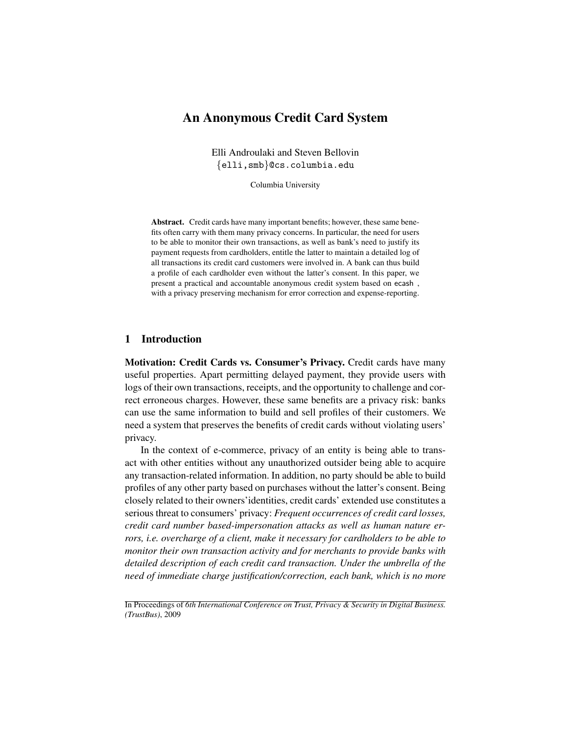# An Anonymous Credit Card System

Elli Androulaki and Steven Bellovin {elli,smb}@cs.columbia.edu

Columbia University

Abstract. Credit cards have many important benefits; however, these same benefits often carry with them many privacy concerns. In particular, the need for users to be able to monitor their own transactions, as well as bank's need to justify its payment requests from cardholders, entitle the latter to maintain a detailed log of all transactions its credit card customers were involved in. A bank can thus build a profile of each cardholder even without the latter's consent. In this paper, we present a practical and accountable anonymous credit system based on ecash , with a privacy preserving mechanism for error correction and expense-reporting.

# 1 Introduction

Motivation: Credit Cards vs. Consumer's Privacy. Credit cards have many useful properties. Apart permitting delayed payment, they provide users with logs of their own transactions, receipts, and the opportunity to challenge and correct erroneous charges. However, these same benefits are a privacy risk: banks can use the same information to build and sell profiles of their customers. We need a system that preserves the benefits of credit cards without violating users' privacy.

In the context of e-commerce, privacy of an entity is being able to transact with other entities without any unauthorized outsider being able to acquire any transaction-related information. In addition, no party should be able to build profiles of any other party based on purchases without the latter's consent. Being closely related to their owners'identities, credit cards' extended use constitutes a serious threat to consumers' privacy: *Frequent occurrences of credit card losses, credit card number based-impersonation attacks as well as human nature errors, i.e. overcharge of a client, make it necessary for cardholders to be able to monitor their own transaction activity and for merchants to provide banks with detailed description of each credit card transaction. Under the umbrella of the need of immediate charge justification/correction, each bank, which is no more*

In Proceedings of *6th International Conference on Trust, Privacy & Security in Digital Business. (TrustBus)*, 2009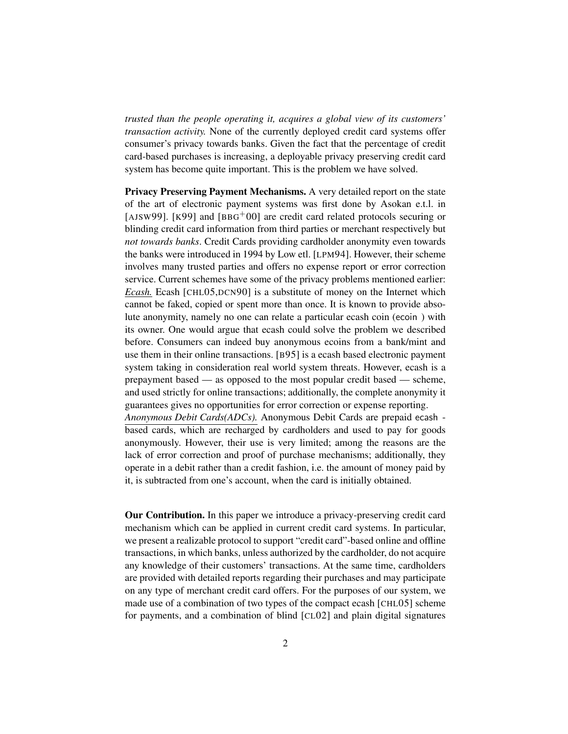*trusted than the people operating it, acquires a global view of its customers' transaction activity.* None of the currently deployed credit card systems offer consumer's privacy towards banks. Given the fact that the percentage of credit card-based purchases is increasing, a deployable privacy preserving credit card system has become quite important. This is the problem we have solved.

Privacy Preserving Payment Mechanisms. A very detailed report on the state of the art of electronic payment systems was first done by Asokan e.t.l. in [AJSW99]. [K99] and  $[BBG^+00]$  are credit card related protocols securing or blinding credit card information from third parties or merchant respectively but *not towards banks*. Credit Cards providing cardholder anonymity even towards the banks were introduced in 1994 by Low etl. [LPM94]. However, their scheme involves many trusted parties and offers no expense report or error correction service. Current schemes have some of the privacy problems mentioned earlier: *Ecash.* Ecash [CHL05,DCN90] is a substitute of money on the Internet which cannot be faked, copied or spent more than once. It is known to provide absolute anonymity, namely no one can relate a particular ecash coin (ecoin ) with its owner. One would argue that ecash could solve the problem we described before. Consumers can indeed buy anonymous ecoins from a bank/mint and use them in their online transactions. [B95] is a ecash based electronic payment system taking in consideration real world system threats. However, ecash is a prepayment based — as opposed to the most popular credit based — scheme, and used strictly for online transactions; additionally, the complete anonymity it guarantees gives no opportunities for error correction or expense reporting. *Anonymous Debit Cards(ADCs).* Anonymous Debit Cards are prepaid ecash based cards, which are recharged by cardholders and used to pay for goods anonymously. However, their use is very limited; among the reasons are the lack of error correction and proof of purchase mechanisms; additionally, they operate in a debit rather than a credit fashion, i.e. the amount of money paid by

Our Contribution. In this paper we introduce a privacy-preserving credit card mechanism which can be applied in current credit card systems. In particular, we present a realizable protocol to support "credit card"-based online and offline transactions, in which banks, unless authorized by the cardholder, do not acquire any knowledge of their customers' transactions. At the same time, cardholders are provided with detailed reports regarding their purchases and may participate on any type of merchant credit card offers. For the purposes of our system, we made use of a combination of two types of the compact ecash [CHL05] scheme for payments, and a combination of blind [CL02] and plain digital signatures

it, is subtracted from one's account, when the card is initially obtained.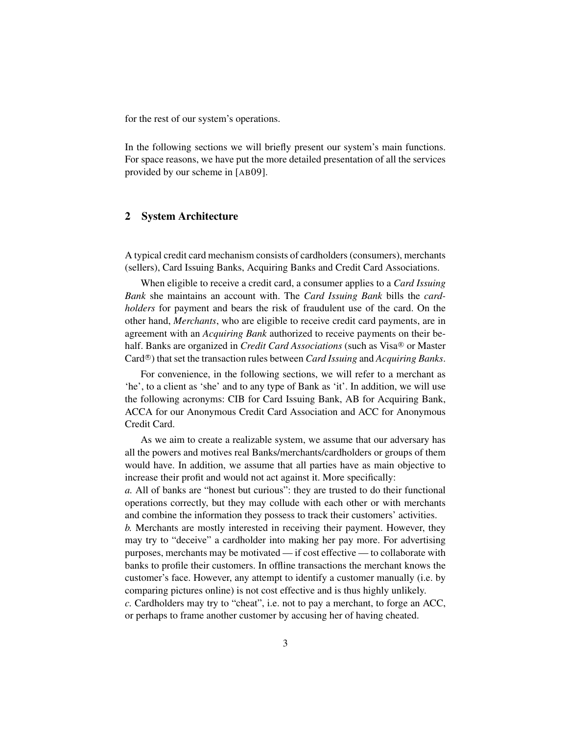for the rest of our system's operations.

In the following sections we will briefly present our system's main functions. For space reasons, we have put the more detailed presentation of all the services provided by our scheme in [AB09].

#### 2 System Architecture

A typical credit card mechanism consists of cardholders (consumers), merchants (sellers), Card Issuing Banks, Acquiring Banks and Credit Card Associations.

When eligible to receive a credit card, a consumer applies to a *Card Issuing Bank* she maintains an account with. The *Card Issuing Bank* bills the *cardholders* for payment and bears the risk of fraudulent use of the card. On the other hand, *Merchants*, who are eligible to receive credit card payments, are in agreement with an *Acquiring Bank* authorized to receive payments on their behalf. Banks are organized in *Credit Card Associations* (such as Visa® or Master Card <sup>R</sup> ) that set the transaction rules between *Card Issuing* and *Acquiring Banks*.

For convenience, in the following sections, we will refer to a merchant as 'he', to a client as 'she' and to any type of Bank as 'it'. In addition, we will use the following acronyms: CIB for Card Issuing Bank, AB for Acquiring Bank, ACCA for our Anonymous Credit Card Association and ACC for Anonymous Credit Card.

As we aim to create a realizable system, we assume that our adversary has all the powers and motives real Banks/merchants/cardholders or groups of them would have. In addition, we assume that all parties have as main objective to increase their profit and would not act against it. More specifically:

*a.* All of banks are "honest but curious": they are trusted to do their functional operations correctly, but they may collude with each other or with merchants and combine the information they possess to track their customers' activities.

*b.* Merchants are mostly interested in receiving their payment. However, they may try to "deceive" a cardholder into making her pay more. For advertising purposes, merchants may be motivated — if cost effective — to collaborate with banks to profile their customers. In offline transactions the merchant knows the customer's face. However, any attempt to identify a customer manually (i.e. by comparing pictures online) is not cost effective and is thus highly unlikely.

*c.* Cardholders may try to "cheat", i.e. not to pay a merchant, to forge an ACC, or perhaps to frame another customer by accusing her of having cheated.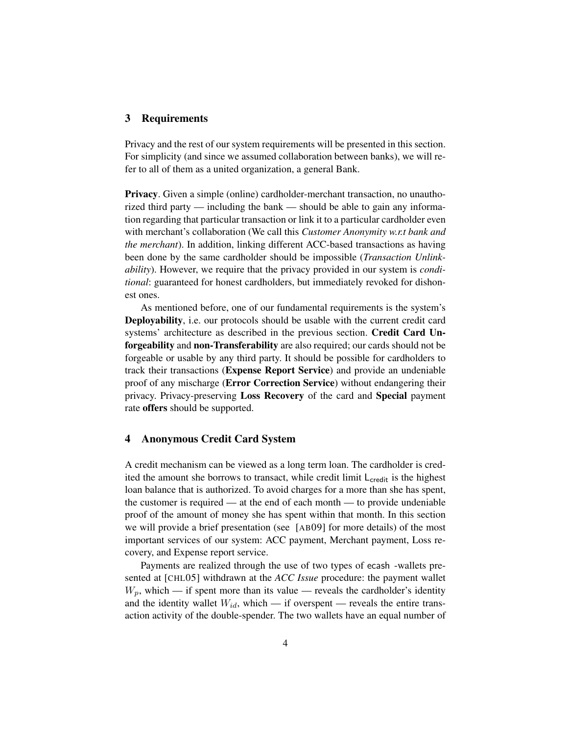### 3 Requirements

Privacy and the rest of our system requirements will be presented in this section. For simplicity (and since we assumed collaboration between banks), we will refer to all of them as a united organization, a general Bank.

Privacy. Given a simple (online) cardholder-merchant transaction, no unauthorized third party — including the bank — should be able to gain any information regarding that particular transaction or link it to a particular cardholder even with merchant's collaboration (We call this *Customer Anonymity w.r.t bank and the merchant*). In addition, linking different ACC-based transactions as having been done by the same cardholder should be impossible (*Transaction Unlinkability*). However, we require that the privacy provided in our system is *conditional*: guaranteed for honest cardholders, but immediately revoked for dishonest ones.

As mentioned before, one of our fundamental requirements is the system's Deployability, i.e. our protocols should be usable with the current credit card systems' architecture as described in the previous section. Credit Card Unforgeability and non-Transferability are also required; our cards should not be forgeable or usable by any third party. It should be possible for cardholders to track their transactions (Expense Report Service) and provide an undeniable proof of any mischarge (Error Correction Service) without endangering their privacy. Privacy-preserving Loss Recovery of the card and Special payment rate offers should be supported.

#### 4 Anonymous Credit Card System

A credit mechanism can be viewed as a long term loan. The cardholder is credited the amount she borrows to transact, while credit limit  $L_{\text{credit}}$  is the highest loan balance that is authorized. To avoid charges for a more than she has spent, the customer is required — at the end of each month — to provide undeniable proof of the amount of money she has spent within that month. In this section we will provide a brief presentation (see [AB09] for more details) of the most important services of our system: ACC payment, Merchant payment, Loss recovery, and Expense report service.

Payments are realized through the use of two types of ecash -wallets presented at [CHL05] withdrawn at the *ACC Issue* procedure: the payment wallet  $W_p$ , which — if spent more than its value — reveals the cardholder's identity and the identity wallet  $W_{id}$ , which — if overspent — reveals the entire transaction activity of the double-spender. The two wallets have an equal number of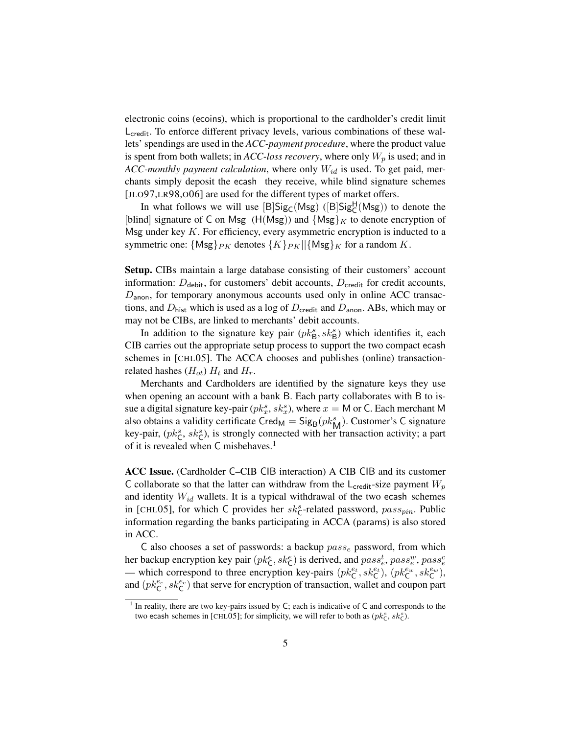electronic coins (ecoins), which is proportional to the cardholder's credit limit L<sub>credit</sub>. To enforce different privacy levels, various combinations of these wallets' spendings are used in the *ACC-payment procedure*, where the product value is spent from both wallets; in *ACC-loss recovery*, where only  $W_p$  is used; and in *ACC-monthly payment calculation*, where only  $W_{id}$  is used. To get paid, merchants simply deposit the ecash they receive, while blind signature schemes [JLO97,LR98,O06] are used for the different types of market offers.

In what follows we will use  $[B]Sig_C(Msg)$  ( $[B]Sig_C^H(Msg)$ ) to denote the [blind] signature of C on Msg (H(Msg)) and  $\{Msg\}_K$  to denote encryption of Msg under key  $K$ . For efficiency, every asymmetric encryption is inducted to a symmetric one:  $\{Msg\}_{PK}$  denotes  $\{K\}_{PK}$ || $\{Msg\}_{K}$  for a random K.

Setup. CIBs maintain a large database consisting of their customers' account information:  $D_{\text{debit}}$ , for customers' debit accounts,  $D_{\text{credit}}$  for credit accounts,  $D<sub>anon</sub>$ , for temporary anonymous accounts used only in online ACC transactions, and  $D_{\text{hist}}$  which is used as a log of  $D_{\text{credit}}$  and  $D_{\text{anon}}$ . ABs, which may or may not be CIBs, are linked to merchants' debit accounts.

In addition to the signature key pair  $(pk_B^s, sk_B^s)$  which identifies it, each CIB carries out the appropriate setup process to support the two compact ecash schemes in [CHL05]. The ACCA chooses and publishes (online) transactionrelated hashes  $(H_{ot}) H_t$  and  $H_r$ .

Merchants and Cardholders are identified by the signature keys they use when opening an account with a bank B. Each party collaborates with B to issue a digital signature key-pair ( $pk_x^s$ ,  $sk_x^s$ ), where  $x = M$  or C. Each merchant M also obtains a validity certificate Cred<sub>M</sub> =  $Sig_B(pk_M^s)$ . Customer's C signature key-pair,  $(pk_{\text{C}}^s, sk_{\text{C}}^s)$ , is strongly connected with her transaction activity; a part of it is revealed when C misbehaves.<sup>1</sup>

ACC Issue. (Cardholder C–CIB CIB interaction) A CIB CIB and its customer C collaborate so that the latter can withdraw from the  $L_{\text{credit}}$ -size payment  $W_p$ and identity  $W_{id}$  wallets. It is a typical withdrawal of the two ecash schemes in [CHL05], for which C provides her  $sk_C^s$ -related password,  $pass_{pin}$ . Public information regarding the banks participating in ACCA (params) is also stored in ACC.

C also chooses a set of passwords: a backup  $pass_e$  password, from which her backup encryption key pair  $(pk_c^e, sk_c^e)$  is derived, and  $pass_e^t, pass_e^w, pass_e^c$ — which correspond to three encryption key-pairs  $(pk_C^{e_t}, sk_C^{e_t})$ ,  $(pk_C^{e_w}, sk_C^{e_w})$ , and  $(pk_C^{e_c}, sk_C^{e_c})$  that serve for encryption of transaction, wallet and coupon part

 $<sup>1</sup>$  In reality, there are two key-pairs issued by C; each is indicative of C and corresponds to the</sup> two ecash schemes in [CHL05]; for simplicity, we will refer to both as  $(pk_C^s, sk_C^s)$ .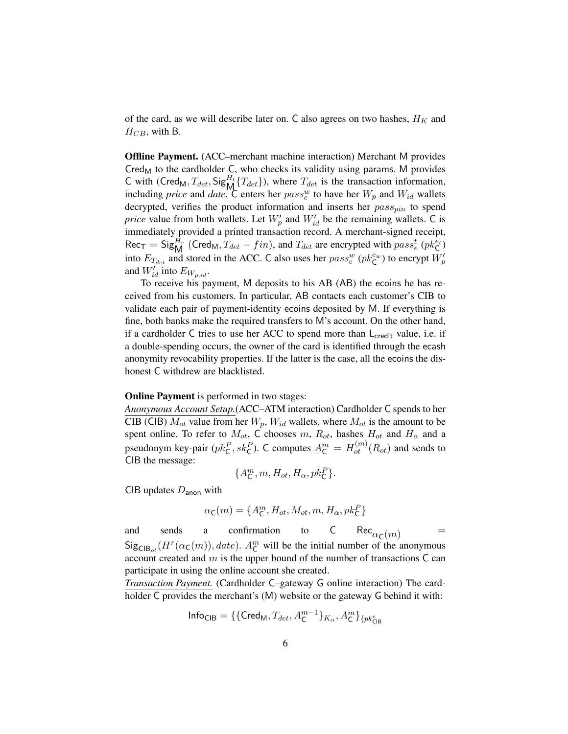of the card, as we will describe later on. C also agrees on two hashes,  $H_K$  and  $H_{CB}$ , with B.

Offline Payment. (ACC–merchant machine interaction) Merchant M provides Cred<sub>M</sub> to the cardholder C, who checks its validity using params. M provides C with (Cred<sub>M</sub>,  $T_{det}$ , Sig $^{H_t}_{\text{M}}$  $\{T_{det}\}\)$ , where  $T_{det}$  is the transaction information, including *price* and *date*. C enters her  $pass_e^w$  to have her  $W_p$  and  $W_{id}$  wallets decrypted, verifies the product information and inserts her  $pass_{pin}$  to spend *price* value from both wallets. Let  $W_p'$  and  $W_{id}'$  be the remaining wallets. C is immediately provided a printed transaction record. A merchant-signed receipt, Rec<sub>T</sub> = Sig $\frac{H_r}{M}$  (Cred<sub>M</sub>,  $T_{det} - fin$ ), and  $T_{det}$  are encrypted with  $pass_e^t$  ( $pk_C^{e_t}$ ) into  $E_{T_{det}}$  and stored in the ACC. C also uses her  $pass_e^w$  ( $pk_C^{e_w}$ ) to encrypt  $W_p'$ and  $W_{id}'$  into  $E_{W_{p,id}}$ .

To receive his payment, M deposits to his AB (AB) the ecoins he has received from his customers. In particular, AB contacts each customer's CIB to validate each pair of payment-identity ecoins deposited by M. If everything is fine, both banks make the required transfers to M's account. On the other hand, if a cardholder  $C$  tries to use her ACC to spend more than  $L_{\text{credit}}$  value, i.e. if a double-spending occurs, the owner of the card is identified through the ecash anonymity revocability properties. If the latter is the case, all the ecoins the dishonest C withdrew are blacklisted.

#### Online Payment is performed in two stages:

*Anonymous Account Setup.*(ACC–ATM interaction) Cardholder C spends to her CIB (CIB)  $M_{ot}$  value from her  $W_p$ ,  $W_{id}$  wallets, where  $M_{ot}$  is the amount to be spent online. To refer to  $M_{ot}$ , C chooses m,  $R_{ot}$ , hashes  $H_{ot}$  and  $H_{\alpha}$  and a pseudonym key-pair ( $pk_C^P, sk_C^P$ ). C computes  $A_C^m = H_{ot}^{(m)}(R_{ot})$  and sends to CIB the message:

$$
\{A_{\mathsf{C}}^m, m, H_{ot}, H_{\alpha}, pk_{\mathsf{C}}^P\}.
$$

CIB updates  $D_{\text{anon}}$  with

$$
\alpha_{\mathsf{C}}(m) = \{A_{\mathsf{C}}^m, H_{ot}, M_{ot}, m, H_{\alpha}, pk_{\mathsf{C}}^P\}
$$

and sends a confirmation to C Rec<sub> $\alpha_{\mathsf{C}}(m)$ </sub> =  $\text{Sig}_{\text{ClB}_{ot}}(H^r(\alpha_{\text{C}}(m)), date)$ .  $A_{\text{C}}^m$  will be the initial number of the anonymous account created and  $m$  is the upper bound of the number of transactions  $C$  can participate in using the online account she created.

*Transaction Payment.* (Cardholder C–gateway G online interaction) The cardholder C provides the merchant's (M) website or the gateway G behind it with:

$$
\mathsf{Info}_{\mathsf{CIB}} = \{\{\mathsf{Cred}_\mathsf{M}, T_{det}, A^{m-1}_\mathsf{C}\}_{K_\alpha}, A^m_\mathsf{C}\}_{\{pk^\varepsilon_\mathsf{CB}}
$$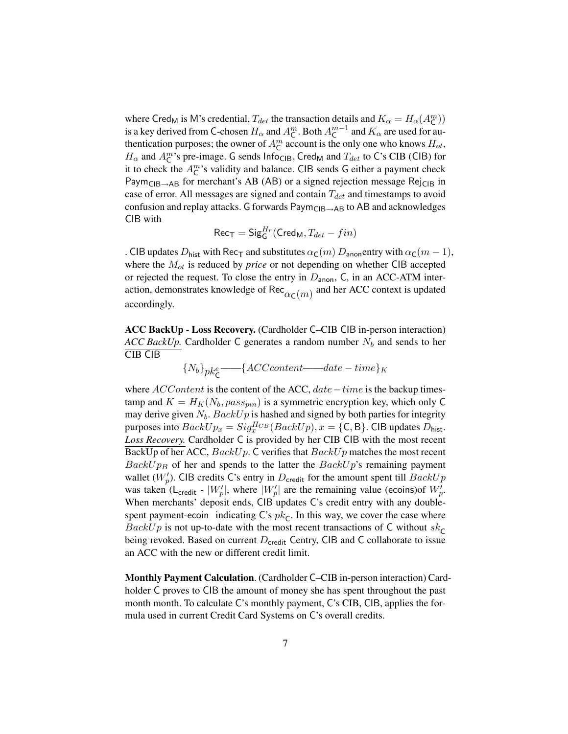where Cred<sub>M</sub> is M's credential,  $T_{det}$  the transaction details and  $K_{\alpha} = H_{\alpha}(A_{\mathbb{C}}^m)$ is a key derived from C-chosen  $H_{\alpha}$  and  $A^m_{\mathsf{C}}$ . Both  $A^{m-1}_{\mathsf{C}}$  $\int_{\mathsf{C}}^{m-1}$  and  $K_{\alpha}$  are used for authentication purposes; the owner of  $A^m_{\mathsf{C}}$  account is the only one who knows  $H_{ot}$ ,  $H_{\alpha}$  and  $A_{\alpha}^{m}$ 's pre-image. G sends Info<sub>CIB</sub>, Cred<sub>M</sub> and  $T_{det}$  to C's CIB (CIB) for it to check the  $A^{m}_{\mathsf{C}}$ 's validity and balance. CIB sends G either a payment check Paym<sub>CIB→AB</sub> for merchant's AB (AB) or a signed rejection message Rej<sub>CIB</sub> in case of error. All messages are signed and contain  $T_{det}$  and timestamps to avoid confusion and replay attacks. G forwards Paym<sub>CIB→AB</sub> to AB and acknowledges CIB with

$$
\mathsf{Rec}_{\mathsf{T}} = \mathsf{Sig}^{H_r}_\mathsf{G}(\mathsf{Cred}_\mathsf{M}, T_{det} - fin)
$$

. CIB updates  $D_{\text{hist}}$  with Rec<sub>T</sub> and substitutes  $\alpha_{\text{C}}(m) D_{\text{anon}}$ entry with  $\alpha_{\text{C}}(m-1)$ , where the  $M_{ot}$  is reduced by *price* or not depending on whether CIB accepted or rejected the request. To close the entry in  $D_{\text{anon}}$ , C, in an ACC-ATM interaction, demonstrates knowledge of Rec $_{\alpha\in (m)}$  and her ACC context is updated accordingly.

ACC BackUp - Loss Recovery. (Cardholder C–CIB CIB in-person interaction) *ACC BackUp.* Cardholder C generates a random number  $N_b$  and sends to her CIB CIB

$$
{N_b\}_p k_c^e \t - \{ACCcontent - date - time\}_K
$$

where  $\text{ACC} on tent$  is the content of the ACC,  $\text{date}-time$  is the backup timestamp and  $K = H_K(N_b, pass_{pin})$  is a symmetric encryption key, which only C may derive given  $N_b$ .  $BackUp$  is hashed and signed by both parties for integrity purposes into  $BackUp_x = Sig_x^{H_{CB}}(BackUp), x = \{\textsf{C}, \textsf{B}\}\)$ . CIB updates  $D_{\text{hist}}$ . *Loss Recovery.* Cardholder C is provided by her CIB CIB with the most recent BackUp of her ACC,  $BackUp$ . C verifies that  $BackUp$  matches the most recent  $BackUp_B$  of her and spends to the latter the  $BackUp$ 's remaining payment wallet  $(W_p')$ . CIB credits C's entry in  $D_{\text{credit}}$  for the amount spent till  $BackUp$ was taken (L<sub>credit</sub> -  $|W'_p|$ , where  $|W'_p|$  are the remaining value (ecoins) of  $W'_p$ . When merchants' deposit ends, CIB updates C's credit entry with any doublespent payment-ecoin indicating C's  $pk_{\text{C}}$ . In this way, we cover the case where *BackUp* is not up-to-date with the most recent transactions of C without  $sk<sub>C</sub>$ being revoked. Based on current  $D_{\text{credit}}$  Centry, CIB and C collaborate to issue an ACC with the new or different credit limit.

Monthly Payment Calculation. (Cardholder C–CIB in-person interaction) Cardholder C proves to CIB the amount of money she has spent throughout the past month month. To calculate C's monthly payment, C's CIB, CIB, applies the formula used in current Credit Card Systems on C's overall credits.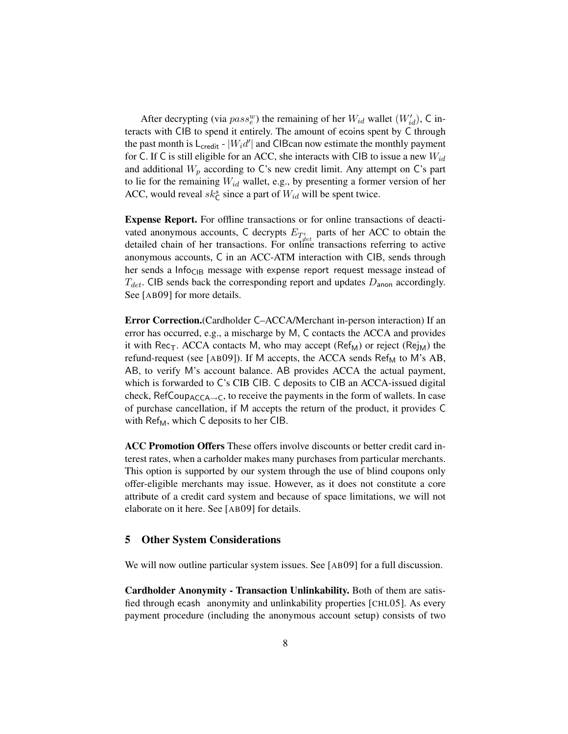After decrypting (via  $pass_e^w$ ) the remaining of her  $W_{id}$  wallet  $(W'_{id})$ , C interacts with CIB to spend it entirely. The amount of ecoins spent by C through the past month is  $\mathsf{L}_{\text{credit}}$  -  $|W_i d'|$  and CIBcan now estimate the monthly payment for C. If C is still eligible for an ACC, she interacts with CIB to issue a new  $W_{id}$ and additional  $W_p$  according to C's new credit limit. Any attempt on C's part to lie for the remaining  $W_{id}$  wallet, e.g., by presenting a former version of her ACC, would reveal  $sk_C^s$  since a part of  $W_{id}$  will be spent twice.

Expense Report. For offline transactions or for online transactions of deactivated anonymous accounts, C decrypts  $E_{T_{det}^i}$  parts of her ACC to obtain the detailed chain of her transactions. For online transactions referring to active anonymous accounts, C in an ACC-ATM interaction with CIB, sends through her sends a Info<sub>CIB</sub> message with expense report request message instead of  $T_{det}$ . CIB sends back the corresponding report and updates  $D_{\text{anon}}$  accordingly. See [AB09] for more details.

Error Correction.(Cardholder C–ACCA/Merchant in-person interaction) If an error has occurred, e.g., a mischarge by M, C contacts the ACCA and provides it with Rec<sub>T</sub>. ACCA contacts M, who may accept (Ref<sub>M</sub>) or reject (Rej<sub>M</sub>) the refund-request (see [AB09]). If M accepts, the ACCA sends  $\mathsf{Ref}_{\mathsf{M}}$  to M's AB, AB, to verify M's account balance. AB provides ACCA the actual payment, which is forwarded to C's CIB CIB. C deposits to CIB an ACCA-issued digital check, RefCoup<sub>ACCA→C</sub>, to receive the payments in the form of wallets. In case of purchase cancellation, if M accepts the return of the product, it provides C with  $\text{Ref}_{M}$ , which C deposits to her CIB.

ACC Promotion Offers These offers involve discounts or better credit card interest rates, when a carholder makes many purchases from particular merchants. This option is supported by our system through the use of blind coupons only offer-eligible merchants may issue. However, as it does not constitute a core attribute of a credit card system and because of space limitations, we will not elaborate on it here. See [AB09] for details.

#### 5 Other System Considerations

We will now outline particular system issues. See [AB09] for a full discussion.

Cardholder Anonymity - Transaction Unlinkability. Both of them are satisfied through ecash anonymity and unlinkability properties [CHL05]. As every payment procedure (including the anonymous account setup) consists of two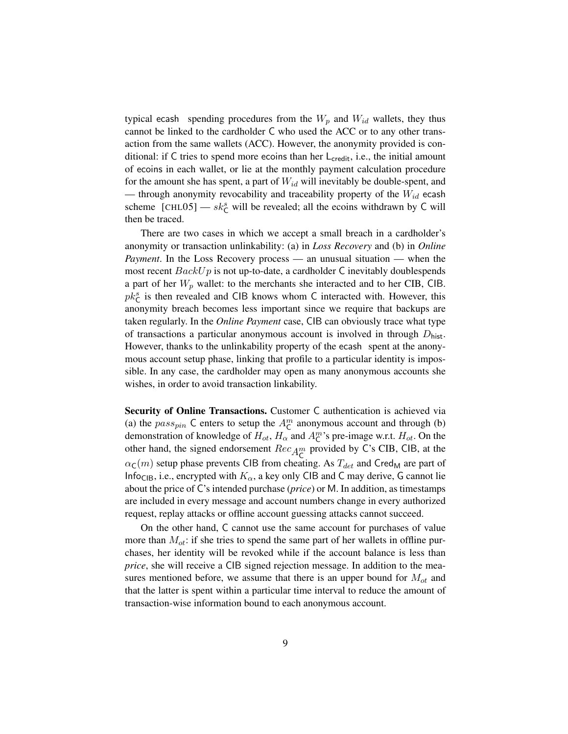typical ecash spending procedures from the  $W_p$  and  $W_{id}$  wallets, they thus cannot be linked to the cardholder C who used the ACC or to any other transaction from the same wallets (ACC). However, the anonymity provided is conditional: if C tries to spend more ecoins than her  $L_{\text{credit}}$ , i.e., the initial amount of ecoins in each wallet, or lie at the monthly payment calculation procedure for the amount she has spent, a part of  $W_{id}$  will inevitably be double-spent, and — through anonymity revocability and traceability property of the  $W_{id}$  ecash scheme  $[CHL05]$  —  $sk^s_C$  will be revealed; all the ecoins withdrawn by C will then be traced.

There are two cases in which we accept a small breach in a cardholder's anonymity or transaction unlinkability: (a) in *Loss Recovery* and (b) in *Online Payment*. In the Loss Recovery process — an unusual situation — when the most recent  $BackUp$  is not up-to-date, a cardholder C inevitably doublespends a part of her  $W_p$  wallet: to the merchants she interacted and to her CIB, CIB.  $pk_{\mathsf{C}}^s$  is then revealed and CIB knows whom C interacted with. However, this anonymity breach becomes less important since we require that backups are taken regularly. In the *Online Payment* case, CIB can obviously trace what type of transactions a particular anonymous account is involved in through  $D_{\text{hist}}$ . However, thanks to the unlinkability property of the ecash spent at the anonymous account setup phase, linking that profile to a particular identity is impossible. In any case, the cardholder may open as many anonymous accounts she wishes, in order to avoid transaction linkability.

Security of Online Transactions. Customer C authentication is achieved via (a) the  $pass_{pin}$  C enters to setup the  $A_{\text{C}}^{m}$  anonymous account and through (b) demonstration of knowledge of  $H_{ot}$ ,  $H_{\alpha}$  and  $A_{\alpha}^{m}$ 's pre-image w.r.t.  $H_{ot}$ . On the other hand, the signed endorsement  $Rec_{A_C^m}$  provided by C's CIB, CIB, at the  $\alpha_{\mathsf{C}}(m)$  setup phase prevents CIB from cheating. As  $T_{det}$  and Cred<sub>M</sub> are part of Info<sub>CIB</sub>, i.e., encrypted with  $K_{\alpha}$ , a key only CIB and C may derive, G cannot lie about the price of C's intended purchase (*price*) or M. In addition, as timestamps are included in every message and account numbers change in every authorized request, replay attacks or offline account guessing attacks cannot succeed.

On the other hand, C cannot use the same account for purchases of value more than  $M_{ot}$ : if she tries to spend the same part of her wallets in offline purchases, her identity will be revoked while if the account balance is less than *price*, she will receive a CIB signed rejection message. In addition to the measures mentioned before, we assume that there is an upper bound for  $M_{ot}$  and that the latter is spent within a particular time interval to reduce the amount of transaction-wise information bound to each anonymous account.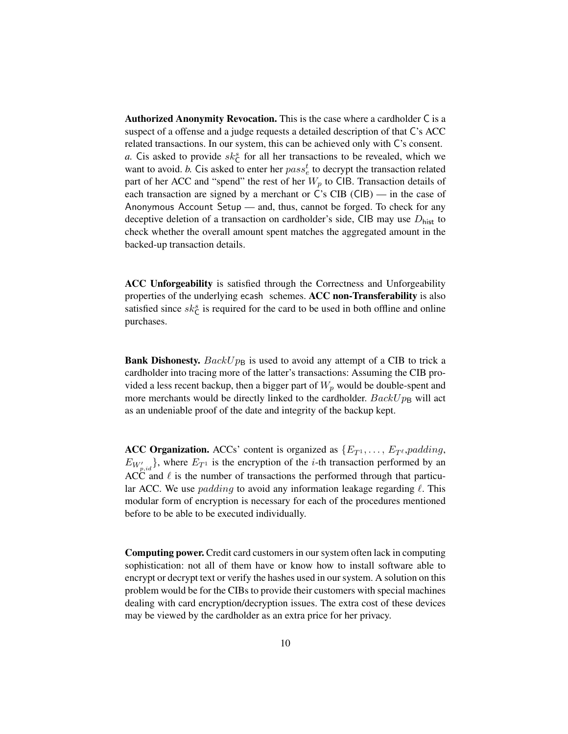Authorized Anonymity Revocation. This is the case where a cardholder C is a suspect of a offense and a judge requests a detailed description of that C's ACC related transactions. In our system, this can be achieved only with C's consent. *a*. Cis asked to provide  $sk^s$  for all her transactions to be revealed, which we want to avoid. *b*. Cis asked to enter her  $pass_e^t$  to decrypt the transaction related part of her ACC and "spend" the rest of her  $W_p$  to CIB. Transaction details of each transaction are signed by a merchant or  $\overline{C}$ 's  $\overline{C}$ IB ( $\overline{C}$ IB) — in the case of Anonymous Account Setup — and, thus, cannot be forged. To check for any deceptive deletion of a transaction on cardholder's side, CIB may use  $D<sub>hist</sub>$  to check whether the overall amount spent matches the aggregated amount in the backed-up transaction details.

ACC Unforgeability is satisfied through the Correctness and Unforgeability properties of the underlying ecash schemes. ACC non-Transferability is also satisfied since  $sk^s$  is required for the card to be used in both offline and online purchases.

**Bank Dishonesty.**  $BackUp_B$  is used to avoid any attempt of a CIB to trick a cardholder into tracing more of the latter's transactions: Assuming the CIB provided a less recent backup, then a bigger part of  $W_p$  would be double-spent and more merchants would be directly linked to the cardholder.  $BackUp<sub>B</sub>$  will act as an undeniable proof of the date and integrity of the backup kept.

ACC Organization. ACCs' content is organized as  $\{E_{T^1}, \ldots, E_{T^{\ell}}\}$  ,padding,  $E_{W'_{p,id}}$ , where  $E_{T^1}$  is the encryption of the *i*-th transaction performed by an ACC and  $\ell$  is the number of transactions the performed through that particular ACC. We use *padding* to avoid any information leakage regarding  $\ell$ . This modular form of encryption is necessary for each of the procedures mentioned before to be able to be executed individually.

Computing power. Credit card customers in our system often lack in computing sophistication: not all of them have or know how to install software able to encrypt or decrypt text or verify the hashes used in our system. A solution on this problem would be for the CIBs to provide their customers with special machines dealing with card encryption/decryption issues. The extra cost of these devices may be viewed by the cardholder as an extra price for her privacy.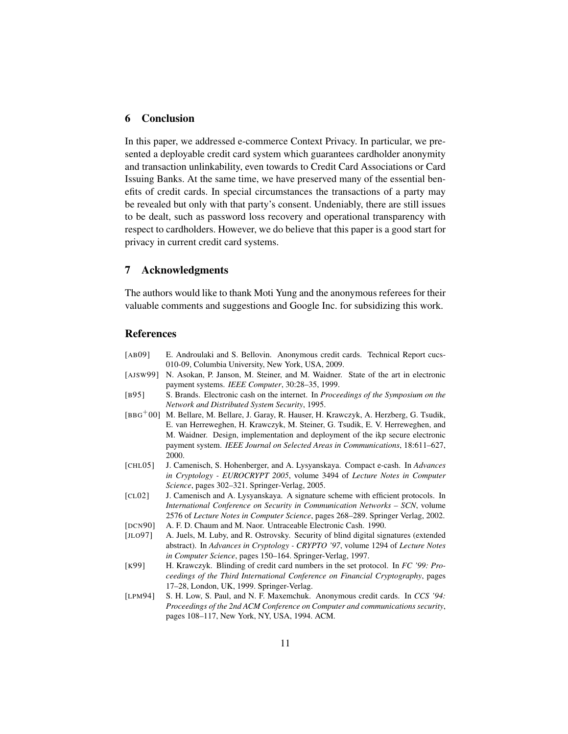### 6 Conclusion

In this paper, we addressed e-commerce Context Privacy. In particular, we presented a deployable credit card system which guarantees cardholder anonymity and transaction unlinkability, even towards to Credit Card Associations or Card Issuing Banks. At the same time, we have preserved many of the essential benefits of credit cards. In special circumstances the transactions of a party may be revealed but only with that party's consent. Undeniably, there are still issues to be dealt, such as password loss recovery and operational transparency with respect to cardholders. However, we do believe that this paper is a good start for privacy in current credit card systems.

# 7 Acknowledgments

The authors would like to thank Moti Yung and the anonymous referees for their valuable comments and suggestions and Google Inc. for subsidizing this work.

#### References

- [AB09] E. Androulaki and S. Bellovin. Anonymous credit cards. Technical Report cucs-010-09, Columbia University, New York, USA, 2009.
- [AJSW99] N. Asokan, P. Janson, M. Steiner, and M. Waidner. State of the art in electronic payment systems. *IEEE Computer*, 30:28–35, 1999.
- [B95] S. Brands. Electronic cash on the internet. In *Proceedings of the Symposium on the Network and Distributed System Security*, 1995.
- [BBG<sup>+</sup>00] M. Bellare, M. Bellare, J. Garay, R. Hauser, H. Krawczyk, A. Herzberg, G. Tsudik, E. van Herreweghen, H. Krawczyk, M. Steiner, G. Tsudik, E. V. Herreweghen, and M. Waidner. Design, implementation and deployment of the ikp secure electronic payment system. *IEEE Journal on Selected Areas in Communications*, 18:611–627, 2000.
- [CHL05] J. Camenisch, S. Hohenberger, and A. Lysyanskaya. Compact e-cash. In *Advances in Cryptology - EUROCRYPT 2005*, volume 3494 of *Lecture Notes in Computer Science*, pages 302–321. Springer-Verlag, 2005.
- [CL02] J. Camenisch and A. Lysyanskaya. A signature scheme with efficient protocols. In *International Conference on Security in Communication Networks – SCN*, volume 2576 of *Lecture Notes in Computer Science*, pages 268–289. Springer Verlag, 2002. [DCN90] A. F. D. Chaum and M. Naor. Untraceable Electronic Cash. 1990.
- [JLO97] A. Juels, M. Luby, and R. Ostrovsky. Security of blind digital signatures (extended
- abstract). In *Advances in Cryptology CRYPTO '97*, volume 1294 of *Lecture Notes in Computer Science*, pages 150–164. Springer-Verlag, 1997.
- [K99] H. Krawczyk. Blinding of credit card numbers in the set protocol. In *FC '99: Proceedings of the Third International Conference on Financial Cryptography*, pages 17–28, London, UK, 1999. Springer-Verlag.
- [LPM94] S. H. Low, S. Paul, and N. F. Maxemchuk. Anonymous credit cards. In *CCS '94: Proceedings of the 2nd ACM Conference on Computer and communications security*, pages 108–117, New York, NY, USA, 1994. ACM.